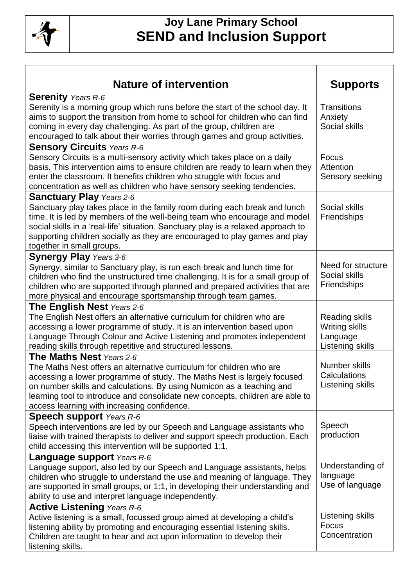

| <b>Nature of intervention</b>                                                                                                                       | <b>Supports</b>                  |
|-----------------------------------------------------------------------------------------------------------------------------------------------------|----------------------------------|
| <b>Serenity</b> Years R-6                                                                                                                           |                                  |
| Serenity is a morning group which runs before the start of the school day. It                                                                       | <b>Transitions</b>               |
| aims to support the transition from home to school for children who can find                                                                        | Anxiety                          |
| coming in every day challenging. As part of the group, children are                                                                                 | Social skills                    |
| encouraged to talk about their worries through games and group activities.                                                                          |                                  |
| <b>Sensory Circuits Years R-6</b>                                                                                                                   |                                  |
| Sensory Circuits is a multi-sensory activity which takes place on a daily                                                                           | Focus                            |
| basis. This intervention aims to ensure children are ready to learn when they                                                                       | Attention                        |
| enter the classroom. It benefits children who struggle with focus and                                                                               | Sensory seeking                  |
| concentration as well as children who have sensory seeking tendencies.                                                                              |                                  |
| <b>Sanctuary Play Years 2-6</b>                                                                                                                     |                                  |
| Sanctuary play takes place in the family room during each break and lunch                                                                           | Social skills                    |
| time. It is led by members of the well-being team who encourage and model                                                                           | Friendships                      |
| social skills in a 'real-life' situation. Sanctuary play is a relaxed approach to                                                                   |                                  |
| supporting children socially as they are encouraged to play games and play                                                                          |                                  |
| together in small groups.                                                                                                                           |                                  |
| <b>Synergy Play Years 3-6</b>                                                                                                                       |                                  |
| Synergy, similar to Sanctuary play, is run each break and lunch time for                                                                            | Need for structure               |
| children who find the unstructured time challenging. It is for a small group of                                                                     | Social skills                    |
| children who are supported through planned and prepared activities that are                                                                         | Friendships                      |
| more physical and encourage sportsmanship through team games.                                                                                       |                                  |
| <b>The English Nest Years 2-6</b>                                                                                                                   |                                  |
| The English Nest offers an alternative curriculum for children who are                                                                              | Reading skills                   |
| accessing a lower programme of study. It is an intervention based upon                                                                              | <b>Writing skills</b>            |
| Language Through Colour and Active Listening and promotes independent                                                                               | Language                         |
| reading skills through repetitive and structured lessons.                                                                                           | Listening skills                 |
| <b>The Maths Nest Years 2-6</b>                                                                                                                     |                                  |
| The Maths Nest offers an alternative curriculum for children who are                                                                                | Number skills                    |
| accessing a lower programme of study. The Maths Nest is largely focused                                                                             | Calculations<br>Listening skills |
| on number skills and calculations. By using Numicon as a teaching and                                                                               |                                  |
| learning tool to introduce and consolidate new concepts, children are able to                                                                       |                                  |
| access learning with increasing confidence.                                                                                                         |                                  |
| <b>Speech support</b> Years R-6                                                                                                                     | Speech                           |
| Speech interventions are led by our Speech and Language assistants who                                                                              | production                       |
| liaise with trained therapists to deliver and support speech production. Each                                                                       |                                  |
| child accessing this intervention will be supported 1:1.                                                                                            |                                  |
| <b>Language support</b> Years R-6                                                                                                                   | Understanding of                 |
| Language support, also led by our Speech and Language assistants, helps                                                                             | language                         |
| children who struggle to understand the use and meaning of language. They                                                                           | Use of language                  |
| are supported in small groups, or 1:1, in developing their understanding and                                                                        |                                  |
| ability to use and interpret language independently.                                                                                                |                                  |
| <b>Active Listening Years R-6</b>                                                                                                                   | Listening skills                 |
| Active listening is a small, focussed group aimed at developing a child's                                                                           | Focus                            |
| listening ability by promoting and encouraging essential listening skills.<br>Children are taught to hear and act upon information to develop their | Concentration                    |
| listening skills.                                                                                                                                   |                                  |